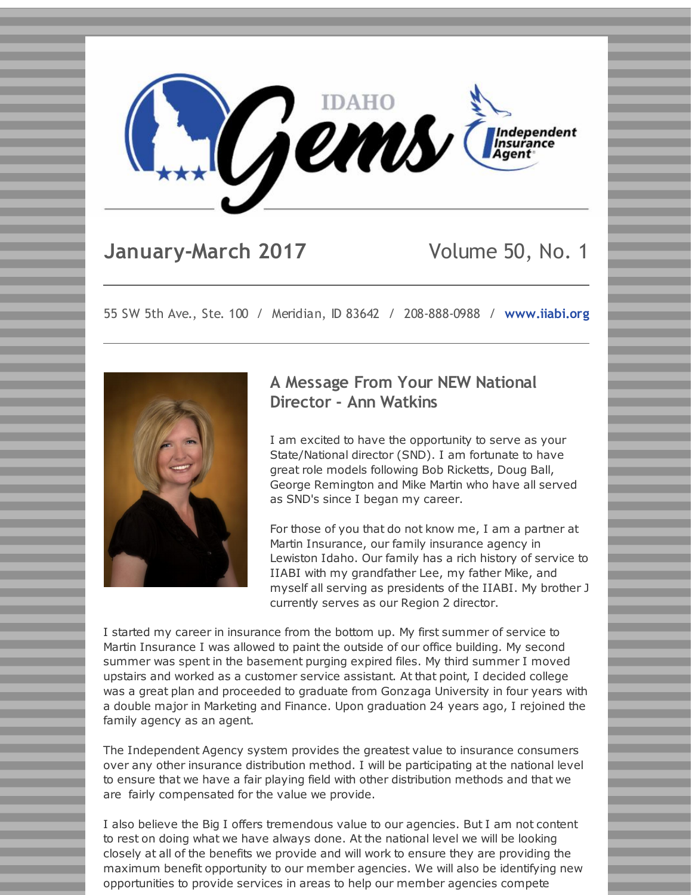

### **January-March 2017** Volume 50, No. 1

55 SW 5th Ave., Ste. 100 / Meridian, ID 83642 / 208-888-0988 / **[www.iiabi.org](http://r20.rs6.net/tn.jsp?f=001_0mauIADBP6EJ8H9GpmD-8npPzF4L5nHUz8BFVqZ0l_-JDPKyUOCFZY_17IAzEO4eCqsi2zA41NRTtQmu6bX8cIBt2Yqa1owMDt9ZfizaTCpQgYqutfhc8-f12wY4aKWM2bw4h_Ogb6WnqfZYb-FewZbymnCdUxbxqHpybaza3o=&c=&ch=)**



#### **A Message From Your NEW National Director - Ann Watkins**

I am excited to have the opportunity to serve as your State/National director (SND). I am fortunate to have great role models following Bob Ricketts, Doug Ball, George Remington and Mike Martin who have all served as SND's since I began my career.

For those of you that do not know me, I am a partner at Martin Insurance, our family insurance agency in Lewiston Idaho. Our family has a rich history of service to IIABI with my grandfather Lee, my father Mike, and myself all serving as presidents of the IIABI. My brother J currently serves as our Region 2 director.

I started my career in insurance from the bottom up. My first summer of service to Martin Insurance I was allowed to paint the outside of our office building. My second summer was spent in the basement purging expired files. My third summer I moved upstairs and worked as a customer service assistant. At that point, I decided college was a great plan and proceeded to graduate from Gonzaga University in four years with a double major in Marketing and Finance. Upon graduation 24 years ago, I rejoined the family agency as an agent.

The Independent Agency system provides the greatest value to insurance consumers over any other insurance distribution method. I will be participating at the national level to ensure that we have a fair playing field with other distribution methods and that we are fairly compensated for the value we provide.

I also believe the Big I offers tremendous value to our agencies. But I am not content to rest on doing what we have always done. At the national level we will be looking closely at all of the benefits we provide and will work to ensure they are providing the maximum benefit opportunity to our member agencies. We will also be identifying new opportunities to provide services in areas to help our member agencies compete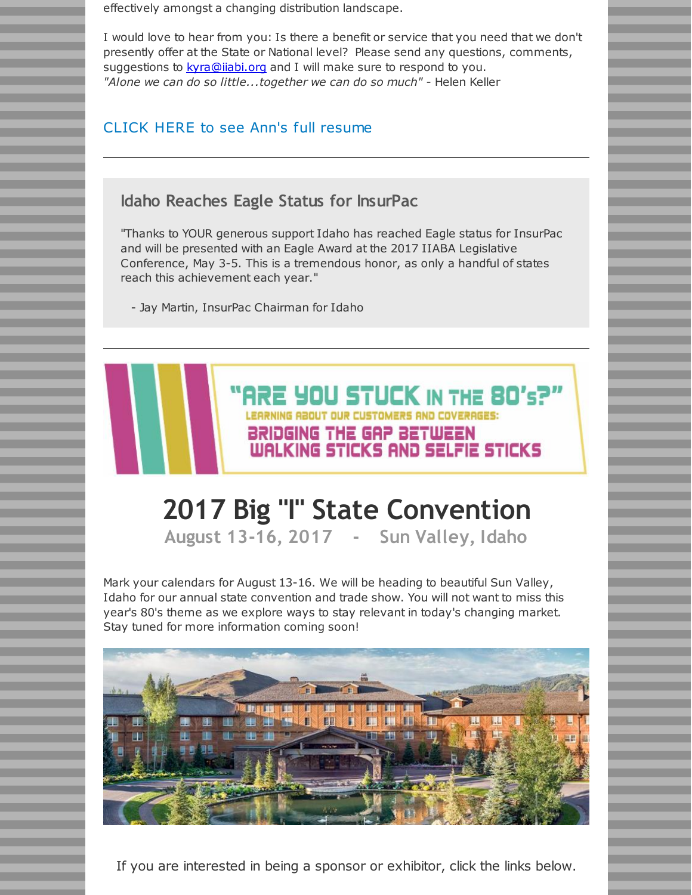effectively amongst a changing distribution landscape.

I would love to hear from you: Is there a benefit or service that you need that we don't presently offer at the State or National level? Please send any questions, comments, suggestions to [kyra@iiabi.org](mailto:kyra@iiabi.org) and I will make sure to respond to you. *"Alone we can do so little...together we can do so much"* - Helen Keller

#### CLICK HERE to see Ann's full [resume](http://r20.rs6.net/tn.jsp?f=001_0mauIADBP6EJ8H9GpmD-8npPzF4L5nHUz8BFVqZ0l_-JDPKyUOCFZY_17IAzEO4tlG-PGrAf6bkQF-YdocOJgCv8wPMpY1pFG-it9qDow87BXOyp3vFIVTgG1NmqOi-5kHiYJWJr28_WHTL_ulKzkbdZl-VRDL1yB-0ehIzF0Oj8jITVdvOqNCOqfqwVyOoNydsvp7z6Z8IrwxVL57YlTJKMTkmqB6vgpxuoBymLcyb7a7f-1RtMqSa51dsd3Uu&c=&ch=)

#### **Idaho Reaches Eagle Status for InsurPac**

"Thanks to YOUR generous support Idaho has reached Eagle status for InsurPac and will be presented with an Eagle Award at the 2017 IIABA Legislative Conference, May 3-5. This is a tremendous honor, as only a handful of states reach this achievement each year."

- Jay Martin, InsurPac Chairman for Idaho

## RE YOU STUCK IN THE 80's?" LEARNING ABOUT OUR CUSTOMERS AND COVERAGES: BRIDGING THE GAP BETWEEN<br>WALKING STICKS AND SELFIE STICKS

# **2017 Big "I" State Convention**

**August 13-16, 2017 - Sun Valley, Idaho**

Mark your calendars for August 13-16. We will be heading to beautiful Sun Valley, Idaho for our annual state convention and trade show. You will not want to miss this year's 80's theme as we explore ways to stay relevant in today's changing market. Stay tuned for more information coming soon!



If you are interested in being a sponsor or exhibitor, click the links below.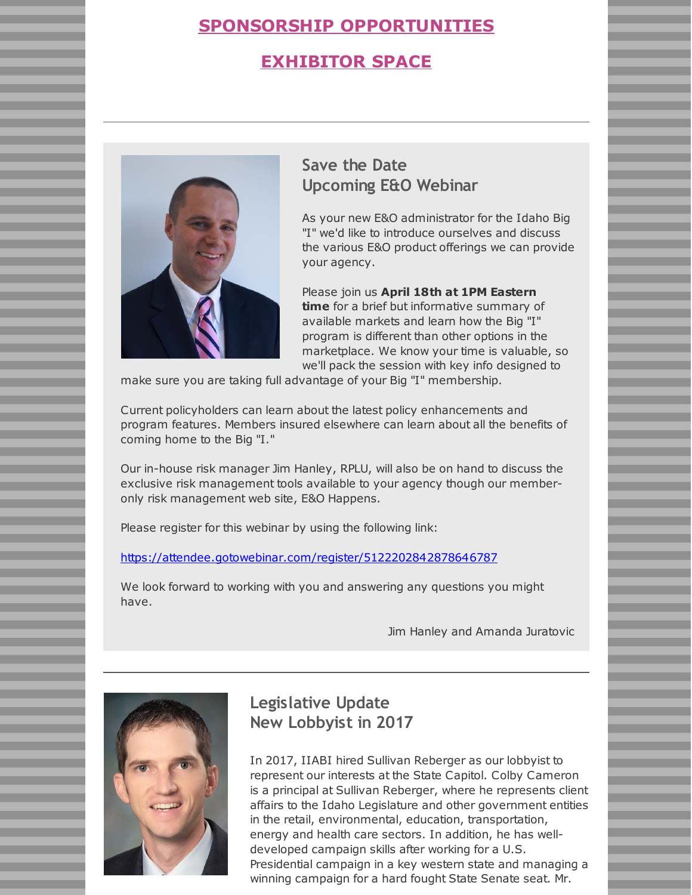#### **SPONSORSHIP [OPPORTUNITIES](http://r20.rs6.net/tn.jsp?f=001_0mauIADBP6EJ8H9GpmD-8npPzF4L5nHUz8BFVqZ0l_-JDPKyUOCFUZ0BYVWl_Ko1m6qk2W2cyNsjmXiJYFHOHGz9fyxWyuwXKZLkMfeP14xx5tos813NtF2OapVAe8FFYo-tqHJv-gFaSLwJNIY0fJdYAk_ijuNa4zo8OcM83h5wm6UHr8H7-c2bFan2Do-E5sf-WtQciCs1HQRS2SUkndrTYIVzOCXaIlfiryRAenhP2EUfb25vy0KUr2YZDQO&c=&ch=)**

#### **[EXHIBITOR](http://r20.rs6.net/tn.jsp?f=001_0mauIADBP6EJ8H9GpmD-8npPzF4L5nHUz8BFVqZ0l_-JDPKyUOCFUZ0BYVWl_Koq2YDzIKPXXVMCjM6054fejnJv98DUilK6PhF01VeUpTJag2et5MFBm5KJITh7aPaipm-xyaVEypgc5lWSf-gEMZ54EbWMrKr5i9G6pDh5fMP-NYXCS49y6KVyKcOlkU5sYZgsQr3CjUMKX_T2CdW0EbC_pXEmnKx7U-xp7Hwyn5PDGz5ck7j0Ha7cvyIV4VF&c=&ch=) SPACE**



#### **Save the Date Upcoming E&O Webinar**

As your new E&O administrator for the Idaho Big "I" we'd like to introduce ourselves and discuss the various E&O product offerings we can provide your agency.

Please join us **April 18th at 1PM Eastern time** for a brief but informative summary of available markets and learn how the Big "I" program is different than other options in the marketplace. We know your time is valuable, so we'll pack the session with key info designed to

make sure you are taking full advantage of your Big "I" membership.

Current policyholders can learn about the latest policy enhancements and program features. Members insured elsewhere can learn about all the benefits of coming home to the Big "I."

Our in-house risk manager Jim Hanley, RPLU, will also be on hand to discuss the exclusive risk management tools available to your agency though our memberonly risk management web site, E&O Happens.

Please register for this webinar by using the following link:

[https://attendee.gotowebinar.com/register/5122202842878646787](http://r20.rs6.net/tn.jsp?f=001_0mauIADBP6EJ8H9GpmD-8npPzF4L5nHUz8BFVqZ0l_-JDPKyUOCFZY_17IAzEO4fqBEQmXrE6DX3blCE7pmRj7e_4YopysR52htGNtpdynjPsmAaFxUr6Kuzu0M1gutTw1JnaINJHr6kTl34jPZnG3KA3PTtUjKRcFbQorQMA2f8ujOYtw5hGqzzZuiz1-slL0TbKL8ZJ62Y-zPtNh8Nccj0wnVpJp2&c=&ch=)

We look forward to working with you and answering any questions you might have.

Jim Hanley and Amanda Juratovic



#### **Legislative Update New Lobbyist in 2017**

In 2017, IIABI hired Sullivan Reberger as our lobbyist to represent our interests at the State Capitol. Colby Cameron is a principal at Sullivan Reberger, where he represents client affairs to the Idaho Legislature and other government entities in the retail, environmental, education, transportation, energy and health care sectors. In addition, he has welldeveloped campaign skills after working for a U.S. Presidential campaign in a key western state and managing a winning campaign for a hard fought State Senate seat. Mr.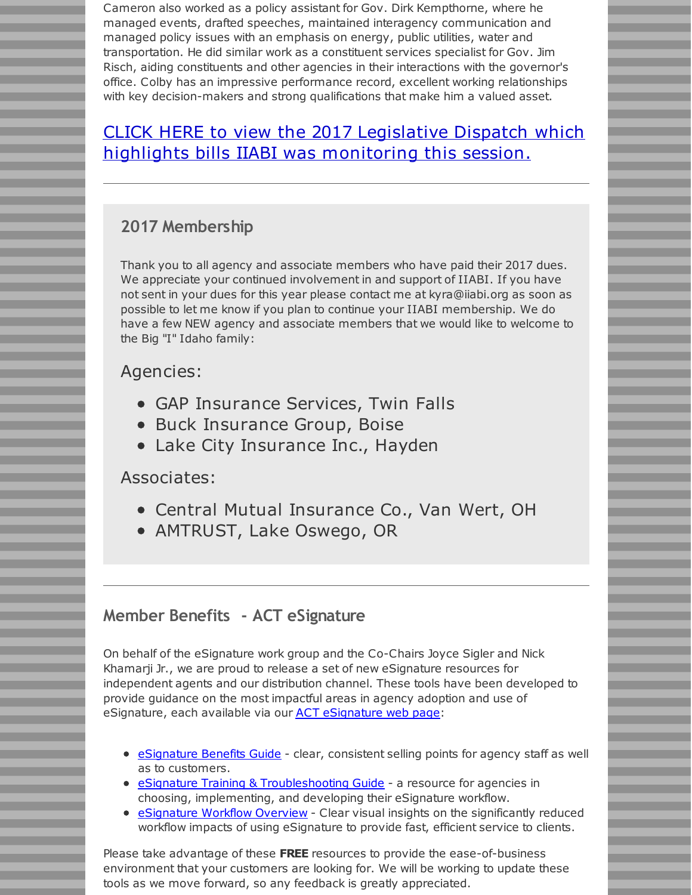Cameron also worked as a policy assistant for Gov. Dirk Kempthorne, where he managed events, drafted speeches, maintained interagency communication and managed policy issues with an emphasis on energy, public utilities, water and transportation. He did similar work as a constituent services specialist for Gov. Jim Risch, aiding constituents and other agencies in their interactions with the governor's office. Colby has an impressive performance record, excellent working relationships with key decision-makers and strong qualifications that make him a valued asset.

#### CLICK HERE to view the 2017 Legislative Dispatch which highlights bills IIABI was [monitoring](http://r20.rs6.net/tn.jsp?f=001_0mauIADBP6EJ8H9GpmD-8npPzF4L5nHUz8BFVqZ0l_-JDPKyUOCFUZ0BYVWl_KowSzPsdATTX1Mf_2Cj761BJltRa5wx95I9xzGAnWFJMF2HuINFVNrasx5fDDxs2RVbtj2kvpOug34m2RzcRmLlbBz4hTbJSVHXAIORe1fLl88pWEoA7jknqh4EqwHHnRkuTsDPOV8e2F7DaTbr3mNz4nz4Iha59nOM7__V-xZstGXhKscbckeBH4aSfAWIw8_&c=&ch=) this session.

#### **2017 Membership**

Thank you to all agency and associate members who have paid their 2017 dues. We appreciate your continued involvement in and support of IIABI. If you have not sent in your dues for this year please contact me at kyra@iiabi.org as soon as possible to let me know if you plan to continue your IIABI membership. We do have a few NEW agency and associate members that we would like to welcome to the Big "I" Idaho family:

#### Agencies:

- GAP Insurance Services, Twin Falls
- Buck Insurance Group, Boise
- Lake City Insurance Inc., Hayden

#### Associates:

- Central Mutual Insurance Co., Van Wert, OH
- AMTRUST, Lake Oswego, OR

#### **Member Benefits - ACT eSignature**

On behalf of the eSignature work group and the Co-Chairs Joyce Sigler and Nick Khamarji Jr., we are proud to release a set of new eSignature resources for independent agents and our distribution channel. These tools have been developed to provide guidance on the most impactful areas in agency adoption and use of [eSignature](http://r20.rs6.net/tn.jsp?f=001_0mauIADBP6EJ8H9GpmD-8npPzF4L5nHUz8BFVqZ0l_-JDPKyUOCFZY_17IAzEO49wrreoCBLWSM3Bkg-SuAzM92oQakmZ0EwihhvG5JviGM_25J496pEF0dDbGms1dtj7TxBYhhidNA7zssI9NXtJgfR9YUM18RHX7TLQDneLGUoRGv24gRLi9QEYoFsA6zOy8LkFCQcTOGzEM9W3Pvjkmjh_a0kb6hB0R9nCcq_jnXF6oqhOK1GXZsja_XOt8ng34rjpS9nHUSfUadN-J6blGOwfrnsFVtVo6kf_HPVRk=&c=&ch=), each available via our **ACT eSignature web page:** 

- [eSignature](http://r20.rs6.net/tn.jsp?f=001_0mauIADBP6EJ8H9GpmD-8npPzF4L5nHUz8BFVqZ0l_-JDPKyUOCFZY_17IAzEO4jTn-6het92Us6KL3rCC1HipmbN0cHDYA21wlT-2RIktqNKJFaeVRHKluvulS4JdDg6iCZFwuVbYmkI8HKM7eGg0n6GR953KkGM2TEfv2jRazk6vP6cG4J1MLpe2ONl1_FyUbBteT9YE8qFUYjaKwjxaJhm_IFuWz7SIqQ75nb61Q-Tp0kPfVEbuOplCkqlxU4JShGEfziSPGamND4ygqwkjxGBLeChjmhEEHOmucvDXJ6W6DoyPYS8ItZ3Mk8yCdvaODKGStuv7D1sygbzTpaA==&c=&ch=) Benefits Guide clear, consistent selling points for agency staff as well as to customers.
- eSignature Training & [Troubleshooting](http://r20.rs6.net/tn.jsp?f=001_0mauIADBP6EJ8H9GpmD-8npPzF4L5nHUz8BFVqZ0l_-JDPKyUOCFZY_17IAzEO4cAn7tSmVdnULbN3Ebu7cLZ3N-T-ymBC-BLHEgfD_zh9w_yBbuQckPp_qlHUKHuVULoyzZEFljwPSERpuDuBgxI51ncbPXKLAJ7Z_Hie263K72myXrue_vHLbeRDbDyBSo4PqJWE7UXfluisQvHsY5nxFw0zD2LYXuAooyYGubTywWix_c61Fzlr7Z6_RyxGGpF8ZHwwBhnkO8hUfKeVHLIyP8FT0Csd0hv6p0kGucssAn0cedbDDe8VK52-BjEtN8Th323gE9pmIVunGX0PHeED77MwOJrTR_N86zmTPezMiaMcjxIQ7eg==&c=&ch=) Guide a resource for agencies in choosing, implementing, and developing their eSignature workflow.
- [eSignature](http://r20.rs6.net/tn.jsp?f=001_0mauIADBP6EJ8H9GpmD-8npPzF4L5nHUz8BFVqZ0l_-JDPKyUOCFZY_17IAzEO4USnyK6UpUQ_CN9Kb6izWr4OzHseDuqxNSJdx9pJ3A1ZlM13_PSmav1Fmanf67lDGdfCwnTXH_nYdROY5ZLXOG_ebDmYmcirAwVnbzI4A9I8RRDmxvwkb2YoURqIi6KyLFqb7UkmK2B4aVSBWPA-ecDPnK2xfr2OZ52A3P3VXiC5NyUuwOl7no83h8BGJR83VrPpgTH-_GH9u3FXXqB0dWCcymy6SeoXbvIOh0wav_WFxBaOdfSogfPPLUF3nfDgIpM27KpC3Hhzynn_oxLqPYA==&c=&ch=) Workflow Overview Clear visual insights on the significantly reduced workflow impacts of using eSignature to provide fast, efficient service to clients.

Please take advantage of these **FREE** resources to provide the ease-of-business environment that your customers are looking for. We will be working to update these tools as we move forward, so any feedback is greatly appreciated.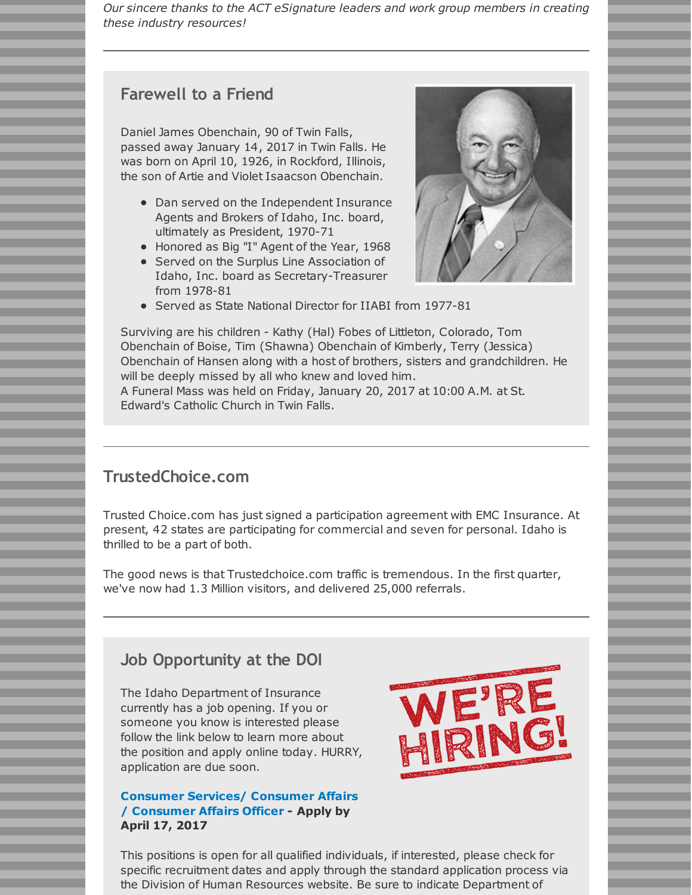*Our sincere thanks to the ACT eSignature leaders and work group members in creating these industry resources!*

#### **Farewell to a Friend**

Daniel James Obenchain, 90 of Twin Falls, passed away January 14, 2017 in Twin Falls. He was born on April 10, 1926, in Rockford, Illinois, the son of Artie and Violet Isaacson Obenchain.

- Dan served on the Independent Insurance Agents and Brokers of Idaho, Inc. board, ultimately as President, 1970-71
- Honored as Big "I" Agent of the Year, 1968
- **Served on the Surplus Line Association of** Idaho, Inc. board as Secretary-Treasurer from 1978-81



• Served as State National Director for IIABI from 1977-81

Surviving are his children - Kathy (Hal) Fobes of Littleton, Colorado, Tom Obenchain of Boise, Tim (Shawna) Obenchain of Kimberly, Terry (Jessica) Obenchain of Hansen along with a host of brothers, sisters and grandchildren. He will be deeply missed by all who knew and loved him.

A Funeral Mass was held on Friday, January 20, 2017 at 10:00 A.M. at St. Edward's Catholic Church in Twin Falls.

#### **TrustedChoice.com**

Trusted Choice.com has just signed a participation agreement with EMC Insurance. At present, 42 states are participating for commercial and seven for personal. Idaho is thrilled to be a part of both.

The good news is that Trustedchoice.com traffic is tremendous. In the first quarter, we've now had 1.3 Million visitors, and delivered 25,000 referrals.

#### **Job Opportunity at the DOI**

The Idaho Department of Insurance currently has a job opening. If you or someone you know is interested please follow the link below to learn more about the position and apply online today. HURRY, application are due soon.



#### **Consumer Services/ [Consumer](http://r20.rs6.net/tn.jsp?f=001_0mauIADBP6EJ8H9GpmD-8npPzF4L5nHUz8BFVqZ0l_-JDPKyUOCFZY_17IAzEO4T2AFHPbv9LiFWTKerus-uRZGWvanVkyLLeCRWeBjEwgLfy51qoY2X1T_GjTEdRBtfNVKh7rXul9QXBj6L9DxKXVPgv6BTOUutATtIe0rhII2i_qDSEyOdh1ORriAZJ196Yq91g28ml2tizIu57YJwhCeiYu4D5I7yULlnNKnrJx4CTceV5VTIv-ENXkr9TmQ206WrvhzrGvBqsRwo4x1Cg==&c=&ch=) Affairs / Consumer Affairs Officer - Apply by April 17, 2017**

This positions is open for all qualified individuals, if interested, please check for specific recruitment dates and apply through the standard application process via the Division of Human Resources website. Be sure to indicate Department of